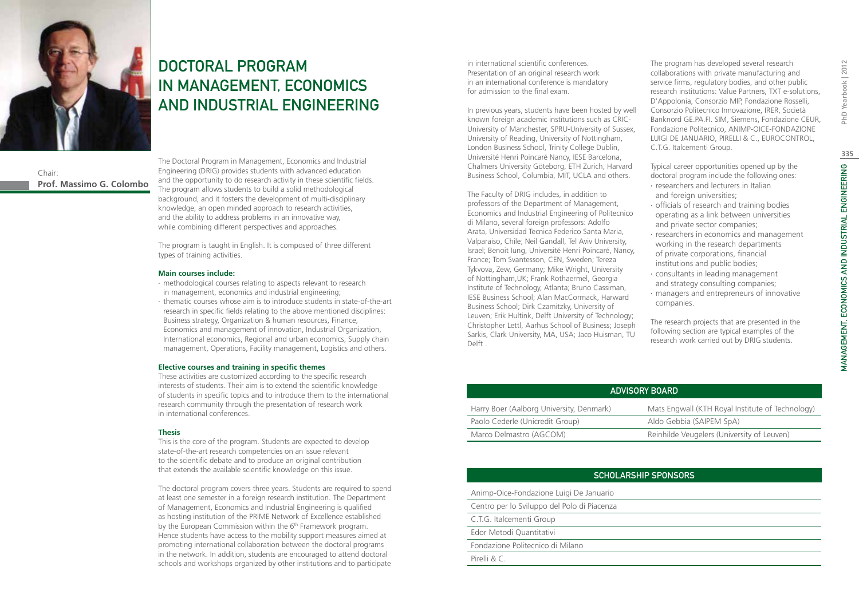

# Chair: **Prof. Massimo G. Colombo**

DOCTORAL PROGRAM IN MANAGEMENT, ECONOMICS AND INDUSTRIAL ENGINEERING

The Doctoral Program in Management, Economics and Industrial Engineering (DRIG) provides students with advanced education and the opportunity to do research activity in these scientific fields. The program allows students to build a solid methodological background, and it fosters the development of multi-disciplinary knowledge, an open minded approach to research activities, and the ability to address problems in an innovative way, while combining different perspectives and approaches.

The program is taught in English. It is composed of three different types of training activities.

### **Main courses include:**

- ∙ methodological courses relating to aspects relevant to research in management, economics and industrial engineering;
- ∙ thematic courses whose aim is to introduce students in state-of-the-art research in specific fields relating to the above mentioned disciplines: Business strategy, Organization & human resources, Finance, Economics and management of innovation, Industrial Organization, International economics, Regional and urban economics, Supply chain management, Operations, Facility management, Logistics and others.

### **Elective courses and training in specific themes**

These activities are customized according to the specific research interests of students. Their aim is to extend the scientific knowledge of students in specific topics and to introduce them to the international research community through the presentation of research work in international conferences.

### **Thesis**

This is the core of the program. Students are expected to develop state-of-the-art research competencies on an issue relevant to the scientific debate and to produce an original contribution that extends the available scientific knowledge on this issue.

The doctoral program covers three years. Students are required to spend at least one semester in a foreign research institution. The Department of Management, Economics and Industrial Engineering is qualified as hosting institution of the PRIME Network of Excellence established by the European Commission within the 6<sup>th</sup> Framework program. Hence students have access to the mobility support measures aimed at promoting international collaboration between the doctoral programs in the network. In addition, students are encouraged to attend doctoral schools and workshops organized by other institutions and to participate

in international scientific conferences. Presentation of an original research work in an international conference is mandatory for admission to the final exam.

In previous years, students have been hosted by well known foreign academic institutions such as CRIC-University of Manchester, SPRU-University of Sussex, University of Reading, University of Nottingham, London Business School, Trinity College Dublin, Université Henri Poincaré Nancy, IESE Barcelona, Chalmers University Göteborg, ETH Zurich, Harvard Business School, Columbia, MIT, UCLA and others.

The Faculty of DRIG includes, in addition to professors of the Department of Management, Economics and Industrial Engineering of Politecnico di Milano, several foreign professors: Adolfo Arata, Universidad Tecnica Federico Santa Maria, Valparaiso, Chile; Neil Gandall, Tel Aviv University, Israel; Benoit Iung, Université Henri Poincaré, Nancy, France; Tom Svantesson, CEN, Sweden; Tereza Tykvova, Zew, Germany; Mike Wright, University of Nottingham,UK; Frank Rothaermel, Georgia Institute of Technology, Atlanta; Bruno Cassiman, IESE Business School; Alan MacCormack, Harward Business School; Dirk Czamitzky, University of Leuven; Erik Hultink, Delft University of Technology; Christopher Lettl, Aarhus School of Business; Joseph Sarkis, Clark University, MA, USA; Jaco Huisman, TU Delft .

The program has developed several research collaborations with private manufacturing and service firms, regulatory bodies, and other public research institutions: Value Partners, TXT e-solutions, D'Appolonia, Consorzio MIP, Fondazione Rosselli, Consorzio Politecnico Innovazione, IRER, Società Banknord GE.PA.FI. SIM, Siemens, Fondazione CEUR, Fondazione Politecnico, ANIMP-OICE-FONDAZIONE LUIGI DE JANUARIO, PIRELLI & C., EUROCONTROL, C.T.G. Italcementi Group.

Typical career opportunities opened up by the doctoral program include the following ones:

- ∙ researchers and lecturers in Italian and foreign universities;
- ∙ officials of research and training bodies operating as a link between universities and private sector companies;
- ∙ researchers in economics and management working in the research departments of private corporations, financial institutions and public bodies;
- ∙ consultants in leading management and strategy consulting companies;
- ∙ managers and entrepreneurs of innovative companies.

The research projects that are presented in the following section are typical examples of the research work carried out by DRIG students.

| ADVISORY BOARD                           |                                                  |  |  |  |  |  |  |  |
|------------------------------------------|--------------------------------------------------|--|--|--|--|--|--|--|
| Harry Boer (Aalborg University, Denmark) | Mats Engwall (KTH Royal Institute of Technology) |  |  |  |  |  |  |  |
| Paolo Cederle (Unicredit Group)          | Aldo Gebbia (SAIPEM SpA)                         |  |  |  |  |  |  |  |
| Marco Delmastro (AGCOM)                  | Reinhilde Veugelers (University of Leuven)       |  |  |  |  |  |  |  |

# Scholarship Sponsors

Animp-Oice-Fondazione Luigi De Januario

Centro per lo Sviluppo del Polo di Piacenza

C.T.G. Italcementi Group

Edor Metodi Quantitativi

Fondazione Politecnico di Milano

Pirelli & C.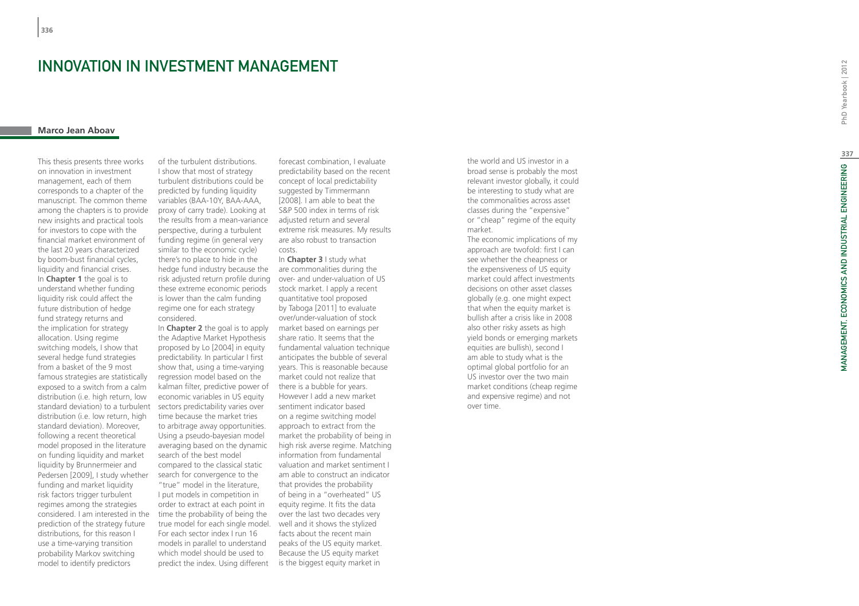# **INNOVATION IN INVESTMENT M**<br>Marco Jean Aboav

This thesis presents three works on innovation in investment management, each of them corresponds to a chapter of the manuscript. The common theme among the chapters is to provide new insights and practical tools for investors to cope with the financial market environment of the last 20 years characterized by boom-bust financial cycles, liquidity and financial crises. In **Chapter 1** the goal is to understand whether funding liquidity risk could affect the future distribution of hedge fund strategy returns and the implication for strategy allocation. Using regime switching models, I show that several hedge fund strategies from a basket of the 9 most famous strategies are statistically exposed to a switch from a calm distribution (i.e. high return, low standard deviation) to a turbulent distribution (i.e. low return, high standard deviation). Moreover, following a recent theoretical model proposed in the literature on funding liquidity and market liquidity by Brunnermeier and Pedersen [2009], I study whether funding and market liquidity risk factors trigger turbulent regimes among the strategies considered. I am interested in the prediction of the strategy future distributions, for this reason I use a time-varying transition probability Markov switching model to identify predictors

of the turbulent distributions. I show that most of strategy turbulent distributions could be predicted by funding liquidity variables (BAA-10Y, BAA-AAA, proxy of carry trade). Looking at the results from a mean-variance perspective, during a turbulent funding regime (in general very similar to the economic cycle) there's no place to hide in the hedge fund industry because the risk adjusted return profile during these extreme economic periods is lower than the calm funding regime one for each strategy considered.

In **Chapter 2** the goal is to apply the Adaptive Market Hypothesis proposed by Lo [2004] in equity predictability. In particular I first show that, using a time-varying regression model based on the kalman filter, predictive power of economic variables in US equity sectors predictability varies over time because the market tries to arbitrage away opportunities. Using a pseudo-bayesian model averaging based on the dynamic search of the best model compared to the classical static search for convergence to the "true" model in the literature, I put models in competition in order to extract at each point in time the probability of being the true model for each single model. For each sector index I run 16 models in parallel to understand which model should be used to predict the index. Using different

forecast combination, I evaluate predictability based on the recent concept of local predictability suggested by Timmermann [2008]. I am able to beat the S&P 500 index in terms of risk adjusted return and several extreme risk measures. My results are also robust to transaction costs.

In **Chapter 3** I study what are commonalities during the over- and under-valuation of US stock market. I apply a recent quantitative tool proposed by Taboga [2011] to evaluate over/under-valuation of stock market based on earnings per share ratio. It seems that the fundamental valuation technique anticipates the bubble of several years. This is reasonable because market could not realize that there is a bubble for years. However I add a new market sentiment indicator based on a regime switching model approach to extract from the market the probability of being in high risk averse regime. Matching information from fundamental valuation and market sentiment I am able to construct an indicator that provides the probability of being in a "overheated" US equity regime. It fits the data over the last two decades very well and it shows the stylized facts about the recent main peaks of the US equity market. Because the US equity market is the biggest equity market in

the world and US investor in a broad sense is probably the most relevant investor globally, it could be interesting to study what are the commonalities across asset classes during the "expensive" or "cheap" regime of the equity market.

The economic implications of my approach are twofold: first I can see whether the cheapness or the expensiveness of US equity market could affect investments decisions on other asset classes globally (e.g. one might expect that when the equity market is bullish after a crisis like in 2008 also other risky assets as high yield bonds or emerging markets equities are bullish), second I am able to study what is the optimal global portfolio for an US investor over the two main market conditions (cheap regime and expensive regime) and not over time.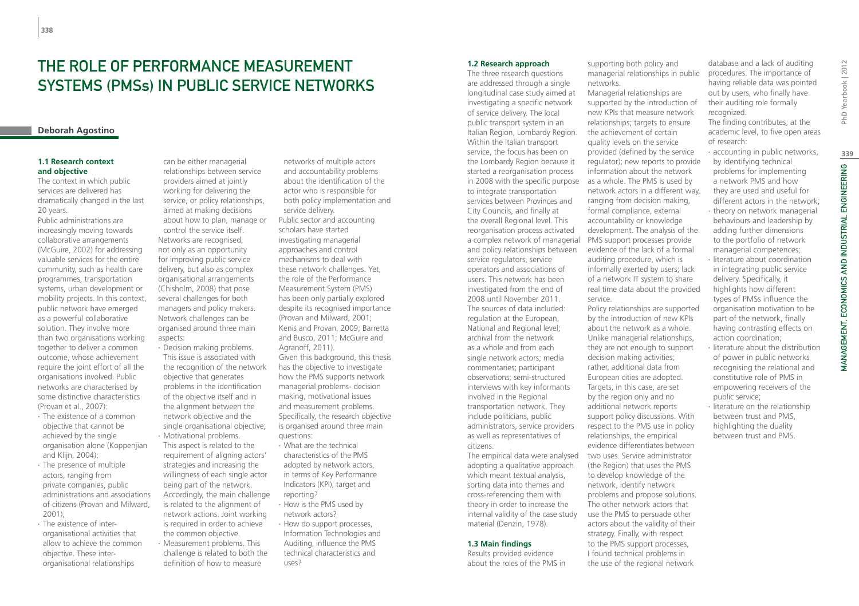# THE ROLE OF PERFORMANCE MEASUREMENT SYSTEMS (PMSs) IN PUBLIC SERVICE NETWORKS

# **Deborah Agostino**

# **1.1 Research context and objective**

The context in which public services are delivered has dramatically changed in the last 20 years.

Public administrations are increasingly moving towards collaborative arrangements (McGuire, 2002) for addressing valuable services for the entire community, such as health care programmes, transportation systems, urban development or mobility projects. In this context, public network have emerged as a powerful collaborative solution. They involve more than two organisations working together to deliver a common outcome, whose achievement require the joint effort of all the organisations involved. Public networks are characterised by some distinctive characteristics (Provan et al., 2007):

- ∙ The existence of a common objective that cannot be achieved by the single organisation alone (Koppenjian and Klijn, 2004);
- ∙ The presence of multiple actors, ranging from private companies, public administrations and associations of citizens (Provan and Milward, 2001);
- ∙ The existence of interorganisational activities that allow to achieve the common objective. These interorganisational relationships

can be either managerial relationships between service providers aimed at jointly working for delivering the service, or policy relationships, aimed at making decisions about how to plan, manage or control the service itself. Networks are recognised, not only as an opportunity for improving public service delivery, but also as complex organisational arrangements (Chisholm, 2008) that pose several challenges for both managers and policy makers. Network challenges can be organised around three main aspects:

∙ Decision making problems. This issue is associated with the recognition of the network objective that generates problems in the identification of the objective itself and in the alignment between the network objective and the single organisational objective; ∙ Motivational problems. This aspect is related to the

requirement of aligning actors' strategies and increasing the willingness of each single actor being part of the network. Accordingly, the main challenge is related to the alignment of network actions. Joint working is required in order to achieve the common objective.

∙ Measurement problems. This challenge is related to both the definition of how to measure

networks of multiple actors and accountability problems about the identification of the actor who is responsible for both policy implementation and service delivery. Public sector and accounting scholars have started investigating managerial approaches and control mechanisms to deal with these network challenges. Yet, the role of the Performance Measurement System (PMS) has been only partially explored despite its recognised importance (Provan and Milward, 2001; Kenis and Provan, 2009; Barretta and Busco, 2011; McGuire and Agranoff, 2011). Given this background, this thesis has the objective to investigate how the PMS supports network managerial problems- decision making, motivational issues and measurement problems. Specifically, the research objective is organised around three main questions:

- ∙ What are the technical characteristics of the PMS adopted by network actors, in terms of Key Performance Indicators (KPI), target and reporting?
- ∙ How is the PMS used by network actors?
- ∙ How do support processes, Information Technologies and Auditing, influence the PMS technical characteristics and uses?

# **1.2 Research approach**

The three research questions are addressed through a single longitudinal case study aimed at investigating a specific network of service delivery. The local public transport system in an Italian Region, Lombardy Region. Within the Italian transport service, the focus has been on the Lombardy Region because it started a reorganisation process in 2008 with the specific purpose as a whole. The PMS is used by to integrate transportation services between Provinces and City Councils, and finally at the overall Regional level. This reorganisation process activated a complex network of managerial and policy relationships between service regulators, service operators and associations of users. This network has been investigated from the end of 2008 until November 2011. The sources of data included: regulation at the European, National and Regional level; archival from the network as a whole and from each single network actors; media commentaries; participant observations; semi-structured interviews with key informants involved in the Regional transportation network. They include politicians, public administrators, service providers as well as representatives of citizens.

adopting a qualitative approach which meant textual analysis, sorting data into themes and cross-referencing them with theory in order to increase the internal validity of the case study material (Denzin, 1978).

### **1.3 Main findings**

Results provided evidence about the roles of the PMS in supporting both policy and managerial relationships in public networks.

Managerial relationships are supported by the introduction of new KPIs that measure network relationships; targets to ensure the achievement of certain quality levels on the service provided (defined by the service regulator); new reports to provide information about the network network actors in a different way, ranging from decision making, formal compliance, external accountability or knowledge development. The analysis of the PMS support processes provide evidence of the lack of a formal auditing procedure, which is informally exerted by users; lack of a network IT system to share real time data about the provided service.

The empirical data were analysed two uses. Service administrator Policy relationships are supported by the introduction of new KPIs about the network as a whole. Unlike managerial relationships, they are not enough to support decision making activities; rather, additional data from European cities are adopted. Targets, in this case, are set by the region only and no additional network reports support policy discussions. With respect to the PMS use in policy relationships, the empirical evidence differentiates between (the Region) that uses the PMS to develop knowledge of the network, identify network problems and propose solutions. The other network actors that use the PMS to persuade other actors about the validity of their strategy. Finally, with respect to the PMS support processes, I found technical problems in the use of the regional network

database and a lack of auditing procedures. The importance of having reliable data was pointed out by users, who finally have their auditing role formally recognized.

The finding contributes, at the academic level, to five open areas of research:

- ∙ accounting in public networks, by identifying technical problems for implementing a network PMS and how they are used and useful for different actors in the network;
- ∙ theory on network managerial behaviours and leadership by adding further dimensions to the portfolio of network managerial competences;
- ∙ literature about coordination in integrating public service delivery. Specifically, it highlights how different types of PMSs influence the organisation motivation to be part of the network, finally having contrasting effects on action coordination;
- ∙ literature about the distribution of power in public networks recognising the relational and constitutive role of PMS in empowering receivers of the public service;
- ∙ literature on the relationship between trust and PMS, highlighting the duality between trust and PMS.

Yearbook | 2012

PhD)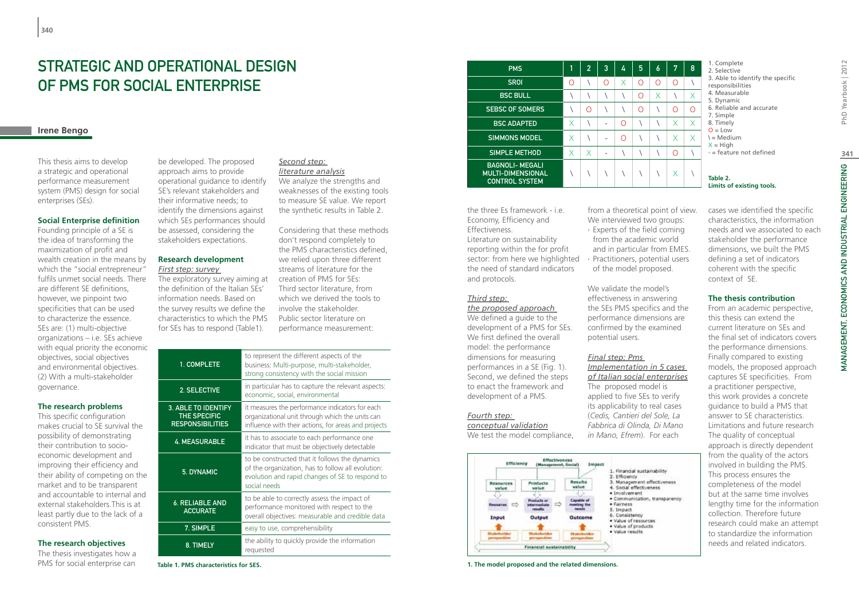# STRATEGIC AND OPERATIONAL DESIGN OF PMS FOR SOCIAL ENTERPRISE

# **Irene Bengo**

This thesis aims to develop a strategic and operational performance measurement system (PMS) design for social enterprises (SEs).

# **Social Enterprise definition**

Founding principle of a SE is the idea of transforming the maximization of profit and wealth creation in the means by which the "social entrepreneur" fulfils unmet social needs. There are different SE definitions, however, we pinpoint two specificities that can be used to characterize the essence. SEs are: (1) multi-objective organizations – i.e. SEs achieve with equal priority the economic objectives, social objectives and environmental objectives. (2) With a multi-stakeholder governance.

# **The research problems**

This specific configuration makes crucial to SE survival the possibility of demonstrating their contribution to socioeconomic development and improving their efficiency and their ability of competing on the market and to be transparent and accountable to internal and external stakeholders.This is at least partly due to the lack of a consistent PMS.

# **The research objectives**

The thesis investigates how a PMS for social enterprise can

be developed. The proposed approach aims to provide operational guidance to identify SE's relevant stakeholders and their informative needs; to identify the dimensions against which SEs performances should be assessed, considering the stakeholders expectations.

# **Research development** *First step: survey*

The exploratory survey aiming at the definition of the Italian SEs' information needs. Based on the survey results we define the characteristics to which the PMS for SEs has to respond (Table1).

### *Second step: literature analysis*

We analyze the strengths and weaknesses of the existing tools to measure SE value. We report the synthetic results in Table 2.

Considering that these methods don't respond completely to the PMS characteristics defined, we relied upon three different streams of literature for the creation of PMS for SEs: Third sector literature, from which we derived the tools to involve the stakeholder. Public sector literature on performance measurement:

| 1. COMPLETE                                                    | to represent the different aspects of the<br>business: Multi-purpose, multi-stakeholder,<br>strong consistency with the social mission                                 |
|----------------------------------------------------------------|------------------------------------------------------------------------------------------------------------------------------------------------------------------------|
| 2. SELECTIVE                                                   | in particular has to capture the relevant aspects:<br>economic, social, environmental                                                                                  |
| 3. ABLE TO IDENTIFY<br>THE SPECIFIC<br><b>RESPONSIBILITIES</b> | it measures the performance indicators for each<br>organizational unit through which the units can<br>influence with their actions, for areas and projects             |
| <b>4. MEASURABLE</b>                                           | it has to associate to each performance one<br>indicator that must be objectively detectable                                                                           |
| 5. DYNAMIC                                                     | to be constructed that it follows the dynamics<br>of the organization, has to follow all evolution:<br>evolution and rapid changes of SE to respond to<br>social needs |
| <b>6. RELIABLE AND</b><br><b>ACCURATE</b>                      | to be able to correctly assess the impact of<br>performance monitored with respect to the<br>overall objectives: measurable and credible data                          |
| 7. SIMPLE                                                      | easy to use, comprehensibility                                                                                                                                         |
| 8. TIMELY                                                      | the ability to quickly provide the information<br>requested                                                                                                            |

**Table 1. PMS characteristics for SES.**

| <b>PMS</b>                                                                  |   | $\overline{2}$ | 3                        | 4        | 5        | 6 | 7 | 8 | 1. Complete<br>2. Selective<br>3. Able to identify the specific<br>responsibilities<br>4. Measurable<br>5. Dynamic<br>6. Reliable and accurate<br>7. Simple<br>8. Timely<br>$Q = Low$<br>\ = Medium<br>$X = High$<br>$-$ = feature not defined<br>Table 2.<br>Limits of existing tools. |
|-----------------------------------------------------------------------------|---|----------------|--------------------------|----------|----------|---|---|---|-----------------------------------------------------------------------------------------------------------------------------------------------------------------------------------------------------------------------------------------------------------------------------------------|
| <b>SROI</b>                                                                 | Ω |                | ∩                        | Χ        | ∩        | ∩ | ∩ |   |                                                                                                                                                                                                                                                                                         |
| <b>BSC BULL</b>                                                             |   |                |                          |          | ∩        | Χ |   | X |                                                                                                                                                                                                                                                                                         |
| <b>SEBSC OF SOMERS</b>                                                      |   | Ω              |                          |          | $\Omega$ |   | Ω | ∩ |                                                                                                                                                                                                                                                                                         |
| <b>BSC ADAPTED</b>                                                          | X |                | $\overline{\phantom{0}}$ | $\Omega$ |          |   | X | X |                                                                                                                                                                                                                                                                                         |
| SIMMONS MODEL                                                               | X |                | $\overline{\phantom{0}}$ | $\Omega$ |          |   | X | X |                                                                                                                                                                                                                                                                                         |
| SIMPLE METHOD                                                               | X | X              | $\overline{\phantom{0}}$ |          |          |   | Ω |   |                                                                                                                                                                                                                                                                                         |
| <b>BAGNOLI- MEGALI</b><br><b>MULTI-DIMENSIONAL</b><br><b>CONTROL SYSTEM</b> |   |                |                          |          |          |   | X |   |                                                                                                                                                                                                                                                                                         |
|                                                                             |   |                |                          |          |          |   |   |   |                                                                                                                                                                                                                                                                                         |

the three Es framework - i.e. Economy, Efficiency and Effectiveness. Literature on sustainability reporting within the for profit sector: from here we highlighted the need of standard indicators and protocols.

### *Third step:*

*the proposed approach*  We defined a quide to the development of a PMS for SEs. We first defined the overall model: the performance dimensions for measuring performances in a SE (Fig. 1). Second, we defined the steps to enact the framework and development of a PMS.

# *Fourth step:*

*conceptual validation* We test the model compliance,



**1. The model proposed and the related dimensions.**

from a theoretical point of view. We interviewed two groups: cases we identified the specific characteristics, the information

∙ Experts of the field coming from the academic world and in particular from EMES. ∙ Practitioners, potential users of the model proposed.

We validate the model's effectiveness in answering the SEs PMS specifics and the performance dimensions are confirmed by the examined potential users.

# *Final step: Pms*

*Implementation in 5 cases of Italian social enterprises* The proposed model is applied to five SEs to verify its applicability to real cases (*Cedis, Cantieri del Sole, La Fabbrica di Olinda, Di Mano in Mano, Efrem*). For each

this work provides a concrete guidance to build a PMS that answer to SE characteristics. Limitations and future research The quality of conceptual approach is directly dependent from the quality of the actors involved in building the PMS. This process ensures the completeness of the model but at the same time involves lengthy time for the information collection. Therefore future research could make an attempt to standardize the information needs and related indicators.

stakeholder the performance dimensions, we built the PMS defining a set of indicators coherent with the specific

**The thesis contribution** From an academic perspective, this thesis can extend the current literature on SEs and the final set of indicators covers the performance dimensions. Finally compared to existing models, the proposed approach captures SE specificities. From a practitioner perspective,

context of SE.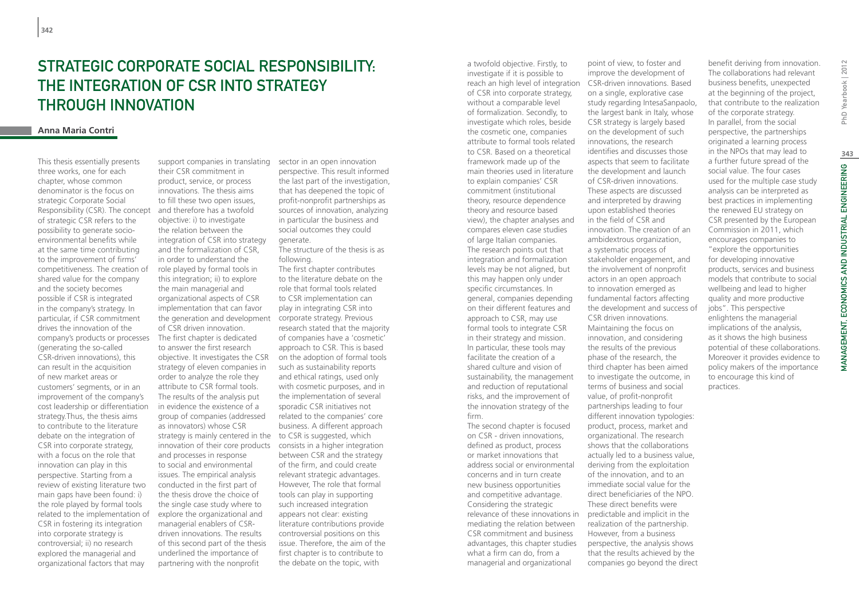# STRATEGIC CORPORATE SOCIAL RESPONSIBILITY. the Integration of CSR into Strategy through Innovation

### **Anna Maria Contri**

This thesis essentially presents three works, one for each chapter, whose common denominator is the focus on strategic Corporate Social Responsibility (CSR). The concept of strategic CSR refers to the possibility to generate socioenvironmental benefits while at the same time contributing to the improvement of firms' competitiveness. The creation of shared value for the company and the society becomes possible if CSR is integrated in the company's strategy. In particular, if CSR commitment drives the innovation of the company's products or processes (generating the so-called CSR-driven innovations), this can result in the acquisition of new market areas or customers' segments, or in an improvement of the company's cost leadership or differentiation strategy.Thus, the thesis aims to contribute to the literature debate on the integration of CSR into corporate strategy, with a focus on the role that innovation can play in this perspective. Starting from a review of existing literature two main gaps have been found: i) the role played by formal tools related to the implementation of CSR in fostering its integration into corporate strategy is controversial; ii) no research explored the managerial and organizational factors that may

support companies in translating their CSR commitment in product, service, or process innovations. The thesis aims to fill these two open issues, and therefore has a twofold objective: i) to investigate the relation between the integration of CSR into strategy and the formalization of CSR, in order to understand the role played by formal tools in this integration; ii) to explore the main managerial and organizational aspects of CSR implementation that can favor the generation and development of CSR driven innovation. The first chapter is dedicated to answer the first research objective. It investigates the CSR strategy of eleven companies in order to analyze the role they attribute to CSR formal tools. The results of the analysis put in evidence the existence of a group of companies (addressed as innovators) whose CSR strategy is mainly centered in the to CSR is suggested, which innovation of their core products consists in a higher integration and processes in response to social and environmental issues. The empirical analysis conducted in the first part of the thesis drove the choice of the single case study where to explore the organizational and managerial enablers of CSRdriven innovations. The results of this second part of the thesis underlined the importance of partnering with the nonprofit

sector in an open innovation perspective. This result informed the last part of the investigation, that has deepened the topic of profit-nonprofit partnerships as sources of innovation, analyzing in particular the business and social outcomes they could generate.

The structure of the thesis is as following.

The first chapter contributes to the literature debate on the role that formal tools related to CSR implementation can play in integrating CSR into corporate strategy. Previous research stated that the majority of companies have a 'cosmetic' approach to CSR. This is based on the adoption of formal tools such as sustainability reports and ethical ratings, used only with cosmetic purposes, and in the implementation of several sporadic CSR initiatives not related to the companies' core business. A different approach between CSR and the strategy of the firm, and could create relevant strategic advantages. However, The role that formal tools can play in supporting such increased integration appears not clear: existing literature contributions provide controversial positions on this issue. Therefore, the aim of the first chapter is to contribute to the debate on the topic, with

investigate if it is possible to reach an high level of integration CSR-driven innovations. Based of CSR into corporate strategy, without a comparable level of formalization. Secondly, to investigate which roles, beside the cosmetic one, companies attribute to formal tools related to CSR. Based on a theoretical framework made up of the main theories used in literature to explain companies' CSR commitment (institutional theory, resource dependence theory and resource based view), the chapter analyses and compares eleven case studies of large Italian companies. The research points out that integration and formalization levels may be not aligned, but this may happen only under specific circumstances. In general, companies depending on their different features and approach to CSR, may use formal tools to integrate CSR in their strategy and mission. In particular, these tools may facilitate the creation of a shared culture and vision of sustainability, the management and reduction of reputational risks, and the improvement of the innovation strategy of the firm. The second chapter is focused

a twofold objective. Firstly, to

on CSR - driven innovations, defined as product, process or market innovations that address social or environmental concerns and in turn create new business opportunities and competitive advantage. Considering the strategic relevance of these innovations in mediating the relation between CSR commitment and business advantages, this chapter studies what a firm can do, from a managerial and organizational

point of view, to foster and improve the development of on a single, explorative case study regarding IntesaSanpaolo, the largest bank in Italy, whose CSR strategy is largely based on the development of such innovations, the research identifies and discusses those aspects that seem to facilitate the development and launch of CSR-driven innovations. These aspects are discussed and interpreted by drawing upon established theories in the field of CSR and innovation. The creation of an ambidextrous organization, a systematic process of stakeholder engagement, and the involvement of nonprofit actors in an open approach to innovation emerged as fundamental factors affecting the development and success of CSR driven innovations. Maintaining the focus on innovation, and considering the results of the previous phase of the research, the third chapter has been aimed to investigate the outcome, in terms of business and social value, of profit-nonprofit partnerships leading to four different innovation typologies: product, process, market and organizational. The research shows that the collaborations actually led to a business value, deriving from the exploitation of the innovation, and to an benefit deriving from innovation. The collaborations had relevant business benefits, unexpected at the beginning of the project, that contribute to the realization of the corporate strategy. In parallel, from the social perspective, the partnerships originated a learning process in the NPOs that may lead to a further future spread of the social value. The four cases used for the multiple case study analysis can be interpreted as best practices in implementing the renewed EU strategy on CSR presented by the European Commission in 2011, which encourages companies to "explore the opportunities for developing innovative products, services and business models that contribute to social wellbeing and lead to higher quality and more productive jobs". This perspective enlightens the managerial implications of the analysis, as it shows the high business potential of these collaborations. Moreover it provides evidence to policy makers of the importance to encourage this kind of practices.

immediate social value for the direct beneficiaries of the NPO. These direct benefits were predictable and implicit in the realization of the partnership. However, from a business perspective, the analysis shows that the results achieved by the companies go beyond the direct Yearbook | 2012 PhD) **343**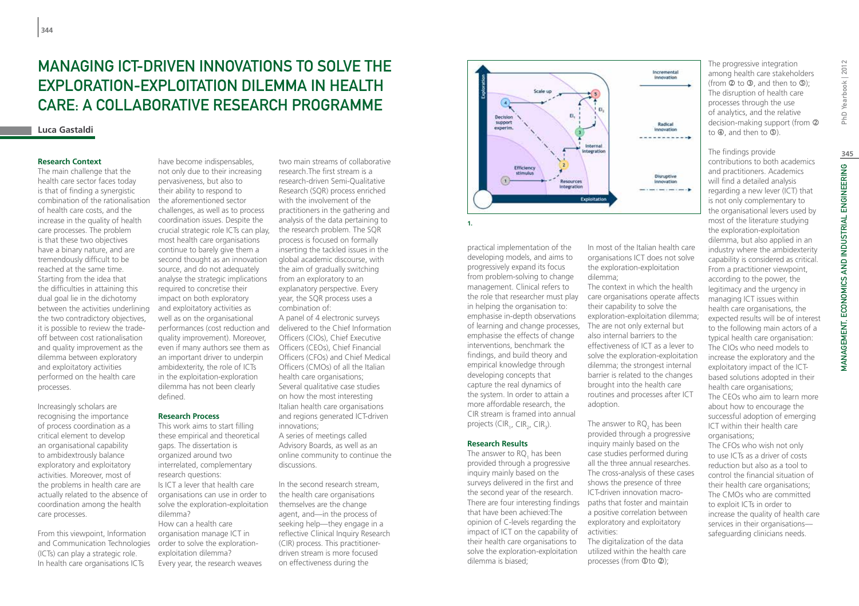# Managing ICT-driven Innovations to Solve the Exploration-Exploitation Dilemma in Health Care: A Collaborative Research Programme

### **Luca Gastaldi**

## **Research Context**

The main challenge that the health care sector faces today is that of finding a synergistic combination of the rationalisation of health care costs, and the increase in the quality of health care processes. The problem is that these two objectives have a binary nature, and are tremendously difficult to be reached at the same time. Starting from the idea that the difficulties in attaining this dual goal lie in the dichotomy between the activities underlining the two contradictory objectives, it is possible to review the tradeoff between cost rationalisation and quality improvement as the dilemma between exploratory and exploitatory activities performed on the health care processes.

Increasingly scholars are recognising the importance of process coordination as a critical element to develop an organisational capability to ambidextrously balance exploratory and exploitatory activities. Moreover, most of the problems in health care are actually related to the absence of coordination among the health care processes.

From this viewpoint, Information and Communication Technologies (ICTs) can play a strategic role. In health care organisations ICTs

have become indispensables, not only due to their increasing pervasiveness, but also to their ability to respond to the aforementioned sector challenges, as well as to process coordination issues. Despite the crucial strategic role ICTs can play, most health care organisations continue to barely give them a second thought as an innovation source, and do not adequately analyse the strategic implications required to concretise their impact on both exploratory and exploitatory activities as well as on the organisational performances (cost reduction and quality improvement). Moreover, even if many authors see them as an important driver to underpin ambidexterity, the role of ICTs in the exploitation-exploration dilemma has not been clearly defined.

# **Research Process**

This work aims to start filling these empirical and theoretical gaps. The dissertation is organized around two interrelated, complementary research questions: Is ICT a lever that health care organisations can use in order to solve the exploration-exploitation dilemma? How can a health care organisation manage ICT in order to solve the explorationexploitation dilemma? Every year, the research weaves

two main streams of collaborative research.The first stream is a research-driven Semi-Qualitative Research (SQR) process enriched with the involvement of the practitioners in the gathering and analysis of the data pertaining to the research problem. The SQR process is focused on formally inserting the tackled issues in the global academic discourse, with the aim of gradually switching from an exploratory to an explanatory perspective. Every year, the SQR process uses a combination of: A panel of 4 electronic surveys delivered to the Chief Information Officers (CIOs), Chief Executive

Officers (CEOs), Chief Financial Officers (CFOs) and Chief Medical Officers (CMOs) of all the Italian health care organisations; Several qualitative case studies on how the most interesting Italian health care organisations and regions generated ICT-driven innovations; A series of meetings called Advisory Boards, as well as an online community to continue the discussions.

In the second research stream, the health care organisations themselves are the change agent, and—in the process of seeking help—they engage in a reflective Clinical Inquiry Research (CIR) process. This practitionerdriven stream is more focused on effectiveness during the



practical implementation of the developing models, and aims to progressively expand its focus from problem-solving to change management. Clinical refers to the role that researcher must play in helping the organisation to: emphasise in-depth observations of learning and change processes, emphasise the effects of change interventions, benchmark the findings, and build theory and empirical knowledge through developing concepts that capture the real dynamics of the system. In order to attain a more affordable research, the CIR stream is framed into annual projects (CIR<sub>1</sub>, CIR<sub>2</sub>, CIR<sub>3</sub>).

### **Research Results**

The answer to RQ<sub>1</sub> has been provided through a progressive inquiry mainly based on the surveys delivered in the first and the second year of the research. There are four interesting findings paths that foster and maintain that have been achieved:The opinion of C-levels regarding the impact of ICT on the capability of their health care organisations to solve the exploration-exploitation dilemma is biased;

In most of the Italian health care organisations ICT does not solve the exploration-exploitation dilemma;

The context in which the health care organisations operate affects their capability to solve the exploration-exploitation dilemma; The are not only external but also internal barriers to the effectiveness of ICT as a lever to solve the exploration-exploitation dilemma; the strongest internal barrier is related to the changes brought into the health care routines and processes after ICT adoption.

The answer to  $RQ_2$  has been provided through a progressive inquiry mainly based on the case studies performed during all the three annual researches. The cross-analysis of these cases shows the presence of three ICT-driven innovation macroa positive correlation between exploratory and exploitatory activities: The digitalization of the data

utilized within the health care processes (from  $Q$ to  $Q$ );

The progressive integration among health care stakeholders (from  $\overline{Q}$  to  $\overline{Q}$ , and then to  $\overline{Q}$ ); The disruption of health care processes through the use of analytics, and the relative decision-making support (from  $\oslash$ to  $\Phi$ , and then to  $\Phi$ ).

The findings provide contributions to both academics and practitioners. Academics will find a detailed analysis regarding a new lever (ICT) that is not only complementary to the organisational levers used by most of the literature studying the exploration-exploitation dilemma, but also applied in an industry where the ambidexterity capability is considered as critical. From a practitioner viewpoint, according to the power, the legitimacy and the urgency in managing ICT issues within health care organisations, the expected results will be of interest to the following main actors of a typical health care organisation: The CIOs who need models to increase the exploratory and the exploitatory impact of the ICTbased solutions adopted in their health care organisations; The CEOs who aim to learn more about how to encourage the successful adoption of emerging ICT within their health care organisations; The CFOs who wish not only to use ICTs as a driver of costs reduction but also as a tool to control the financial situation of

their health care organisations; The CMOs who are committed to exploit ICTs in order to increase the quality of health care services in their organisations safeguarding clinicians needs.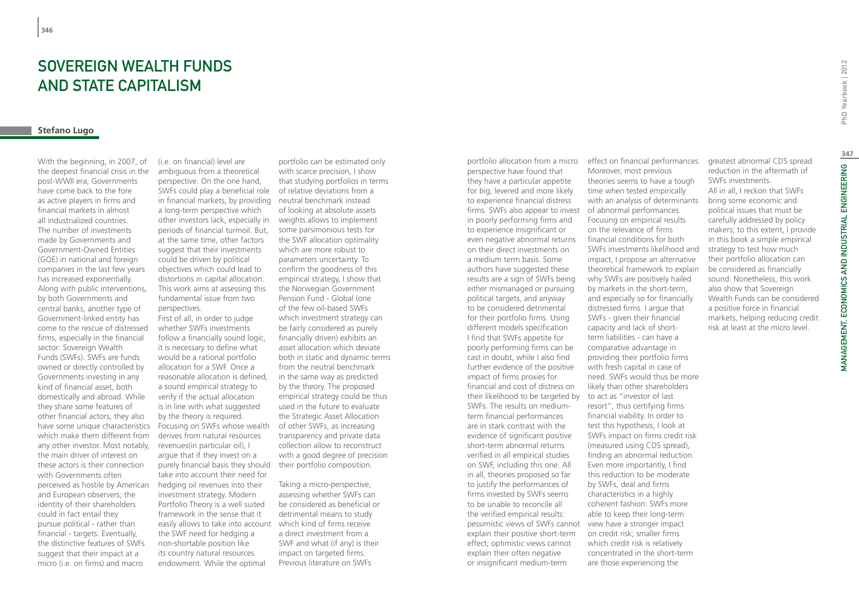# SOVERFIGN WEALTH FUNDS and State Capitalism

# **Stefano Lugo**

With the beginning, in 2007, of the deepest financial crisis in the post-WWII era, Governments have come back to the fore as active players in firms and financial markets in almost all industrialized countries. The number of investments made by Governments and Government-Owned Entities (GOE) in national and foreign companies in the last few years has increased exponentially. Along with public interventions, by both Governments and central banks, another type of Government-linked entity has come to the rescue of distressed firms, especially in the financial sector: Sovereign Wealth Funds (SWFs). SWFs are funds owned or directly controlled by Governments investing in any kind of financial asset, both domestically and abroad. While they share some features of other financial actors, they also have some unique characteristics which make them different from any other investor. Most notably, the main driver of interest on these actors is their connection with Governments often perceived as hostile by American and European observers; the identity of their shareholders could in fact entail they pursue political - rather than financial - targets. Eventually, the distinctive features of SWFs suggest that their impact at a micro (i.e. on firms) and macro

(i.e. on financial) level are ambiguous from a theoretical perspective. On the one hand, SWFs could play a beneficial role in financial markets, by providing neutral benchmark instead a long-term perspective which other investors lack, especially in periods of financial turmoil. But, at the same time, other factors suggest that their investments could be driven by political objectives which could lead to distortions in capital allocation. This work aims at assessing this fundamental issue from two perspectives.

First of all, in order to judge whether SWFs investments follow a financially sound logic, it is necessary to define what would be a rational portfolio allocation for a SWF. Once a reasonable allocation is defined, a sound empirical strategy to verify if the actual allocation is in line with what suggested by the theory is required. Focusing on SWFs whose wealth derives from natural resources revenues(in particular oil), I argue that if they invest on a purely financial basis they should their portfolio composition. take into account their need for hedging oil revenues into their investment strategy. Modern Portfolio Theory is a well suited framework in the sense that it easily allows to take into account the SWF need for hedging a non-shortable position like its country natural resources endowment. While the optimal

portfolio can be estimated only with scarce precision, I show that studying portfolios in terms of relative deviations from a of looking at absolute assets weights allows to implement some parsimonious tests for the SWF allocation optimality which are more robust to parameters uncertainty. To confirm the goodness of this empirical strategy, I show that the Norwegian Government Pension Fund - Global (one of the few oil-based SWFs which investment strategy can be fairly considered as purely financially driven) exhibits an asset allocation which deviate both in static and dynamic terms from the neutral benchmark in the same way as predicted by the theory. The proposed empirical strategy could be thus used in the future to evaluate the Strategic Asset Allocation of other SWFs, as increasing transparency and private data collection allow to reconstruct with a good degree of precision

Taking a micro-perspective, assessing whether SWFs can be considered as beneficial or detrimental means to study which kind of firms receive a direct investment from a SWF and what (if any) is their impact on targeted firms. Previous literature on SWFs

portfolio allocation from a micro effect on financial performances. perspective have found that they have a particular appetite for big, levered and more likely to experience financial distress firms. SWFs also appear to invest in poorly performing firms and to experience insignificant or even negative abnormal returns on their direct investments on a medium term basis. Some authors have suggested these results are a sign of SWFs being either mismanaged or pursuing political targets, and anyway to be considered detrimental for their portfolio firms. Using different models specification I find that SWFs appetite for poorly performing firms can be cast in doubt, while I also find further evidence of the positive impact of firms proxies for financial and cost of distress on their likelihood to be targeted by to act as "investor of last SWFs. The results on mediumterm financial performances are in stark contrast with the evidence of significant positive short-term abnormal returns verified in all empirical studies on SWF, including this one. All in all, theories proposed so far to justify the performances of firms invested by SWFs seems to be unable to reconcile all the verified empirical results: pessimistic views of SWFs cannot view have a stronger impact explain their positive short-term effect; optimistic views cannot explain their often negative or insignificant medium-term

Moreover, most previous theories seems to have a tough time when tested empirically with an analysis of determinants of abnormal performances. Focusing on empirical results on the relevance of firms financial conditions for both SWFs investments likelihood and impact, I propose an alternative theoretical framework to explain why SWFs are positively hailed by markets in the short-term, and especially so for financially distressed firms. I argue that SWFs - given their financial capacity and lack of shortterm liabilities - can have a comparative advantage in providing their portfolio firms with fresh capital in case of need. SWFs would thus be more likely than other shareholders resort", thus certifying firms financial viability. In order to test this hypothesis, I look at SWFs impact on firms credit risk (measured using CDS spread), finding an abnormal reduction. Even more importantly, I find this reduction to be moderate by SWFs, deal and firms characteristics in a highly coherent fashion: SWFs more able to keep their long-term on credit risk; smaller firms which credit risk is relatively concentrated in the short-term

are those experiencing the

greatest abnormal CDS spread reduction in the aftermath of SWFs investments. All in all, I reckon that SWFs bring some economic and political issues that must be carefully addressed by policy makers; to this extent, I provide in this book a simple empirical strategy to test how much their portfolio allocation can be considered as financially sound. Nonetheless, this work also show that Sovereign Wealth Funds can be considered a positive force in financial markets, helping reducing credit risk at least at the micro level.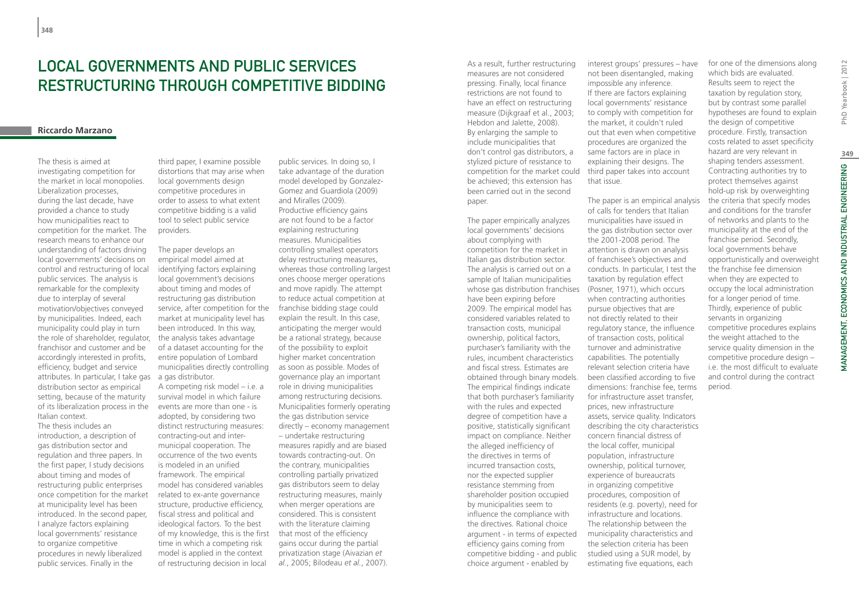# LOCAL GOVERNMENTS AND PUBLIC SERVICES RESTRUCTURING THROUGH COMPETITIVE BIDDING

# **Riccardo Marzano**

The thesis is aimed at investigating competition for the market in local monopolies. Liberalization processes, during the last decade, have provided a chance to study how municipalities react to competition for the market. The research means to enhance our understanding of factors driving local governments' decisions on control and restructuring of local public services. The analysis is remarkable for the complexity due to interplay of several motivation/objectives conveyed by municipalities. Indeed, each municipality could play in turn the role of shareholder, regulator, franchisor and customer and be accordingly interested in profits, efficiency, budget and service attributes. In particular, I take gas a gas distributor. distribution sector as empirical setting, because of the maturity of its liberalization process in the Italian context.

The thesis includes an introduction, a description of gas distribution sector and regulation and three papers. In the first paper, I study decisions about timing and modes of restructuring public enterprises once competition for the market at municipality level has been introduced. In the second paper, I analyze factors explaining local governments' resistance to organize competitive procedures in newly liberalized public services. Finally in the

third paper, I examine possible distortions that may arise when local governments design competitive procedures in order to assess to what extent competitive bidding is a valid tool to select public service providers.

The paper develops an empirical model aimed at identifying factors explaining local government's decisions about timing and modes of restructuring gas distribution service, after competition for the market at municipality level has been introduced. In this way, the analysis takes advantage of a dataset accounting for the entire population of Lombard municipalities directly controlling

A competing risk model – i.e. a survival model in which failure events are more than one - is adopted, by considering two distinct restructuring measures: contracting-out and intermunicipal cooperation. The occurrence of the two events is modeled in an unified framework. The empirical model has considered variables related to ex-ante governance structure, productive efficiency, fiscal stress and political and ideological factors. To the best of my knowledge, this is the first time in which a competing risk model is applied in the context of restructuring decision in local

public services. In doing so, I take advantage of the duration model developed by Gonzalez-Gomez and Guardiola (2009) and Miralles (2009). Productive efficiency gains are not found to be a factor explaining restructuring measures. Municipalities controlling smallest operators delay restructuring measures, whereas those controlling largest ones choose merger operations and move rapidly. The attempt to reduce actual competition at franchise bidding stage could explain the result. In this case, anticipating the merger would be a rational strategy, because of the possibility to exploit higher market concentration as soon as possible. Modes of governance play an important role in driving municipalities among restructuring decisions. Municipalities formerly operating the gas distribution service directly – economy management – undertake restructuring measures rapidly and are biased towards contracting-out. On the contrary, municipalities controlling partially privatized gas distributors seem to delay restructuring measures, mainly when merger operations are considered. This is consistent with the literature claiming that most of the efficiency gains occur during the partial privatization stage (Aivazian *et al.*, 2005; Bilodeau *et al.*, 2007).

As a result, further restructuring measures are not considered pressing. Finally, local finance restrictions are not found to have an effect on restructuring measure (Dijkgraaf et al., 2003; Hebdon and Jalette, 2008). By enlarging the sample to include municipalities that don't control gas distributors, a stylized picture of resistance to competition for the market could be achieved; this extension has been carried out in the second paper.

The paper empirically analyzes local governments' decisions about complying with competition for the market in Italian gas distribution sector. The analysis is carried out on a sample of Italian municipalities whose gas distribution franchises have been expiring before 2009. The empirical model has considered variables related to transaction costs, municipal ownership, political factors, purchaser's familiarity with the rules, incumbent characteristics and fiscal stress. Estimates are obtained through binary models. The empirical findings indicate that both purchaser's familiarity with the rules and expected degree of competition have a positive, statistically significant impact on compliance. Neither the alleged inefficiency of the directives in terms of incurred transaction costs, nor the expected supplier resistance stemming from shareholder position occupied by municipalities seem to influence the compliance with the directives. Rational choice argument - in terms of expected efficiency gains coming from competitive bidding - and public choice argument - enabled by

interest groups' pressures – have not been disentangled, making impossible any inference. If there are factors explaining local governments' resistance to comply with competition for the market, it couldn't ruled out that even when competitive procedures are organized the same factors are in place in explaining their designs. The third paper takes into account that issue.

The paper is an empirical analysis of calls for tenders that Italian municipalities have issued in the gas distribution sector over the 2001-2008 period. The attention is drawn on analysis of franchisee's objectives and conducts. In particular, I test the taxation by regulation effect (Posner, 1971), which occurs when contracting authorities pursue objectives that are not directly related to their regulatory stance, the influence of transaction costs, political turnover and administrative capabilities. The potentially relevant selection criteria have been classified according to five dimensions: franchise fee, terms for infrastructure asset transfer, prices, new infrastructure assets, service quality. Indicators describing the city characteristics concern financial distress of the local coffer, municipal population, infrastructure ownership, political turnover, experience of bureaucrats in organizing competitive procedures, composition of residents (e.g. poverty), need for infrastructure and locations. The relationship between the municipality characteristics and the selection criteria has been studied using a SUR model, by estimating five equations, each

for one of the dimensions along which bids are evaluated. Results seem to reject the taxation by regulation story, but by contrast some parallel hypotheses are found to explain the design of competitive procedure. Firstly, transaction costs related to asset specificity hazard are very relevant in shaping tenders assessment. Contracting authorities try to protect themselves against hold-up risk by overweighting the criteria that specify modes and conditions for the transfer of networks and plants to the municipality at the end of the franchise period. Secondly, local governments behave opportunistically and overweight the franchise fee dimension when they are expected to occupy the local administration for a longer period of time. Thirdly, experience of public servants in organizing competitive procedures explains the weight attached to the service quality dimension in the competitive procedure design – i.e. the most difficult to evaluate and control during the contract period.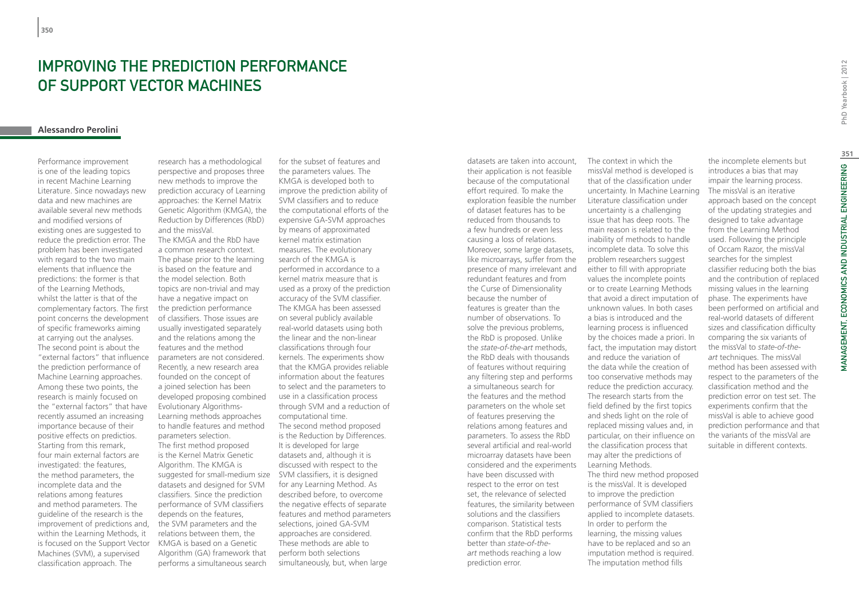# Improving the prediction performance of Support Vector Machines

# **Alessandro Perolini**

Performance improvement is one of the leading topics in recent Machine Learning Literature. Since nowadays new data and new machines are available several new methods and modified versions of existing ones are suggested to reduce the prediction error. The problem has been investigated with regard to the two main elements that influence the predictions: the former is that of the Learning Methods, whilst the latter is that of the complementary factors. The first point concerns the development of specific frameworks aiming at carrying out the analyses. The second point is about the "external factors" that influence the prediction performance of Machine Learning approaches. Among these two points, the research is mainly focused on the "external factors" that have recently assumed an increasing importance because of their positive effects on predictios. Starting from this remark, four main external factors are investigated: the features, the method parameters, the incomplete data and the relations among features and method parameters. The guideline of the research is the improvement of predictions and, within the Learning Methods, it is focused on the Support Vector Machines (SVM), a supervised classification approach. The

research has a methodological perspective and proposes three new methods to improve the prediction accuracy of Learning approaches: the Kernel Matrix Genetic Algorithm (KMGA), the Reduction by Differences (RbD) and the missVal. The KMGA and the RbD have a common research context. The phase prior to the learning is based on the feature and the model selection. Both topics are non-trivial and may have a negative impact on the prediction performance of classifiers. Those issues are usually investigated separately and the relations among the features and the method parameters are not considered. Recently, a new research area founded on the concept of a joined selection has been developed proposing combined Evolutionary Algorithms-Learning methods approaches to handle features and method parameters selection. The first method proposed is the Kernel Matrix Genetic Algorithm. The KMGA is suggested for small-medium size SVM classifiers, it is designed datasets and designed for SVM classifiers. Since the prediction performance of SVM classifiers depends on the features, the SVM parameters and the relations between them, the KMGA is based on a Genetic Algorithm (GA) framework that performs a simultaneous search

for the subset of features and the parameters values. The KMGA is developed both to improve the prediction ability of SVM classifiers and to reduce the computational efforts of the expensive GA-SVM approaches by means of approximated kernel matrix estimation measures. The evolutionary search of the KMGA is performed in accordance to a kernel matrix measure that is used as a proxy of the prediction accuracy of the SVM classifier. The KMGA has been assessed on several publicly available real-world datasets using both the linear and the non-linear classifications through four kernels. The experiments show that the KMGA provides reliable information about the features to select and the parameters to use in a classification process through SVM and a reduction of computational time. The second method proposed is the Reduction by Differences. It is developed for large datasets and, although it is discussed with respect to the for any Learning Method. As described before, to overcome the negative effects of separate features and method parameters selections, joined GA-SVM approaches are considered. These methods are able to perform both selections simultaneously, but, when large

datasets are taken into account, their application is not feasible because of the computational effort required. To make the exploration feasible the number of dataset features has to be reduced from thousands to a few hundreds or even less causing a loss of relations. Moreover, some large datasets, like microarrays, suffer from the presence of many irrelevant and redundant features and from the Curse of Dimensionality because the number of features is greater than the number of observations. To solve the previous problems, the RbD is proposed. Unlike the *state-of-the-art* methods, the RbD deals with thousands of features without requiring any filtering step and performs a simultaneous search for the features and the method parameters on the whole set of features preserving the relations among features and parameters. To assess the RbD several artificial and real-world microarray datasets have been considered and the experiments have been discussed with respect to the error on test set, the relevance of selected features, the similarity between solutions and the classifiers comparison. Statistical tests confirm that the RbD performs better than *state-of-theart* methods reaching a low prediction error.

The context in which the missVal method is developed is that of the classification under uncertainty. In Machine Learning Literature classification under uncertainty is a challenging issue that has deep roots. The main reason is related to the inability of methods to handle incomplete data. To solve this problem researchers suggest either to fill with appropriate values the incomplete points or to create Learning Methods that avoid a direct imputation of unknown values. In both cases a bias is introduced and the learning process is influenced by the choices made a priori. In fact, the imputation may distort and reduce the variation of the data while the creation of too conservative methods may reduce the prediction accuracy. The research starts from the field defined by the first topics and sheds light on the role of replaced missing values and, in particular, on their influence on the classification process that may alter the predictions of Learning Methods. The third new method proposed is the missVal. It is developed to improve the prediction performance of SVM classifiers applied to incomplete datasets. In order to perform the learning, the missing values have to be replaced and so an imputation method is required. The imputation method fills

the incomplete elements but introduces a bias that may impair the learning process. The missVal is an iterative approach based on the concept of the updating strategies and designed to take advantage from the Learning Method used. Following the principle of Occam Razor, the missVal searches for the simplest classifier reducing both the bias and the contribution of replaced missing values in the learning phase. The experiments have been performed on artificial and real-world datasets of different sizes and classification difficulty comparing the six variants of the missVal to *state-of-theart* techniques. The missVal method has been assessed with respect to the parameters of the classification method and the prediction error on test set. The experiments confirm that the missVal is able to achieve good prediction performance and that the variants of the missVal are

suitable in different contexts.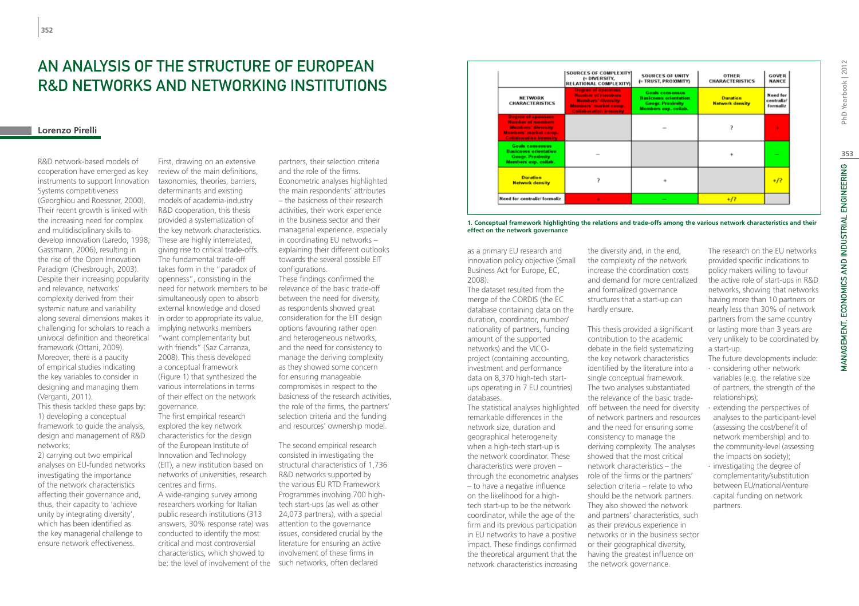# An analysis of the structure of European R&D networks and networking institutions

# **Lorenzo Pirelli**

R&D network-based models of cooperation have emerged as key instruments to support Innovation Systems competitiveness (Georghiou and Roessner, 2000). Their recent growth is linked with the increasing need for complex and multidisciplinary skills to develop innovation (Laredo, 1998; Gassmann, 2006), resulting in the rise of the Open Innovation Paradigm (Chesbrough, 2003). Despite their increasing popularity and relevance, networks' complexity derived from their systemic nature and variability along several dimensions makes it challenging for scholars to reach a univocal definition and theoretical framework (Ottani, 2009). Moreover, there is a paucity of empirical studies indicating the key variables to consider in designing and managing them (Verganti, 2011). This thesis tackled these gaps by: 1) developing a conceptual framework to guide the analysis,

design and management of R&D networks;

2) carrying out two empirical analyses on EU-funded networks investigating the importance of the network characteristics affecting their governance and, thus, their capacity to 'achieve unity by integrating diversity', which has been identified as the key managerial challenge to ensure network effectiveness.

First, drawing on an extensive review of the main definitions, taxonomies, theories, barriers, determinants and existing models of academia-industry R&D cooperation, this thesis provided a systematization of the key network characteristics. These are highly interrelated. giving rise to critical trade-offs. The fundamental trade-off takes form in the "paradox of openness", consisting in the need for network members to be simultaneously open to absorb external knowledge and closed in order to appropriate its value, implying networks members "want complementarity but with friends" (Saz Carranza, 2008). This thesis developed a conceptual framework (Figure 1) that synthesized the various interrelations in terms of their effect on the network governance.

The first empirical research explored the key network characteristics for the design of the European Institute of Innovation and Technology (EIT), a new institution based on networks of universities, research centres and firms. A wide-ranging survey among researchers working for Italian public research institutions (313 answers, 30% response rate) was conducted to identify the most critical and most controversial characteristics, which showed to be: the level of involvement of the such networks, often declared

partners, their selection criteria and the role of the firms. Econometric analyses highlighted the main respondents' attributes – the basicness of their research activities, their work experience in the business sector and their managerial experience, especially in coordinating EU networks – explaining their different outlooks towards the several possible EIT configurations.

These findings confirmed the relevance of the basic trade-off between the need for diversity, as respondents showed great consideration for the EIT design options favouring rather open and heterogeneous networks, and the need for consistency to manage the deriving complexity as they showed some concern for ensuring manageable compromises in respect to the basicness of the research activities, the role of the firms, the partners' selection criteria and the funding and resources' ownership model.

The second empirical research consisted in investigating the structural characteristics of 1,736 R&D networks supported by the various EU RTD Framework Programmes involving 700 hightech start-ups (as well as other 24,073 partners), with a special attention to the governance issues, considered crucial by the literature for ensuring an active involvement of these firms in



**1. Conceptual framework highlighting the relations and trade-offs among the various network characteristics and their effect on the network governance**

as a primary EU research and innovation policy objective (Small Business Act for Europe, EC, 2008).

The dataset resulted from the merge of the CORDIS (the EC database containing data on the duration, coordinator, number/ nationality of partners, funding amount of the supported networks) and the VICOproject (containing accounting, investment and performance data on 8,370 high-tech startups operating in 7 EU countries) databases.

remarkable differences in the network size, duration and geographical heterogeneity when a high-tech start-up is the network coordinator. These characteristics were proven – through the econometric analyses role of the firms or the partners' – to have a negative influence on the likelihood for a hightech start-up to be the network coordinator, while the age of the firm and its previous participation in EU networks to have a positive impact. These findings confirmed the theoretical argument that the network characteristics increasing

the diversity and, in the end, the complexity of the network increase the coordination costs and demand for more centralized and formalized governance structures that a start-up can hardly ensure.

The statistical analyses highlighted off between the need for diversity This thesis provided a significant contribution to the academic debate in the field systematizing the key network characteristics identified by the literature into a single conceptual framework. The two analyses substantiated the relevance of the basic tradeof network partners and resources and the need for ensuring some consistency to manage the deriving complexity. The analyses showed that the most critical network characteristics – the selection criteria – relate to who should be the network partners. They also showed the network and partners' characteristics, such as their previous experience in networks or in the business sector or their geographical diversity, having the greatest influence on the network governance.

The research on the EU networks provided specific indications to policy makers willing to favour the active role of start-ups in R&D networks, showing that networks having more than 10 partners or nearly less than 30% of network partners from the same country or lasting more than 3 years are very unlikely to be coordinated by a start-up.

- The future developments include:
- ∙ considering other network variables (e.g. the relative size of partners, the strength of the relationships);
- ∙ extending the perspectives of analyses to the participant-level (assessing the cost/benefit of network membership) and to the community-level (assessing the impacts on society); ∙ investigating the degree of
- complementarity/substitution between EU/national/venture capital funding on network partners.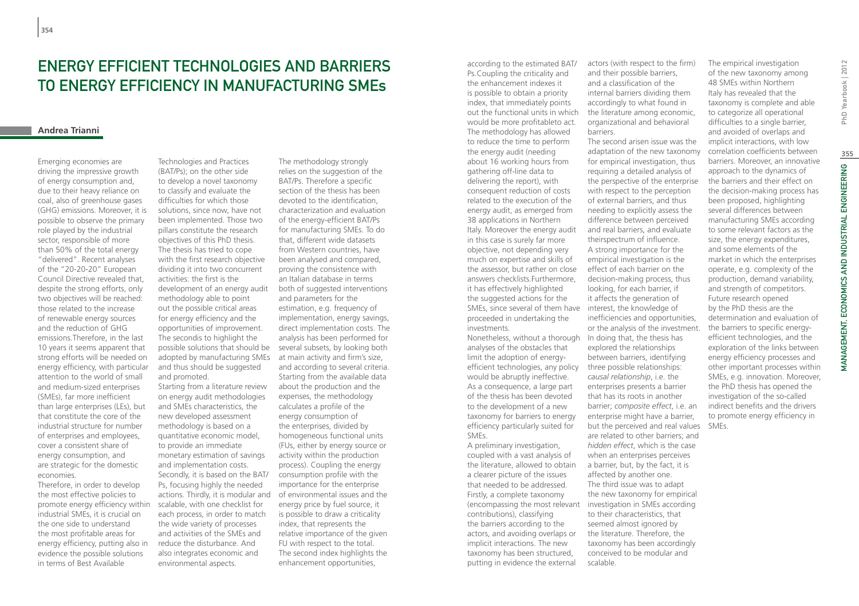# Energy efficient technologies and barriers to energy efficiency in manufacturing SMEs

# **Andrea Trianni**

Emerging economies are driving the impressive growth of energy consumption and, due to their heavy reliance on coal, also of greenhouse gases (GHG) emissions. Moreover, it is possible to observe the primary role played by the industrial sector, responsible of more than 50% of the total energy "delivered". Recent analyses of the "20-20-20" European Council Directive revealed that, despite the strong efforts, only two objectives will be reached: those related to the increase of renewable energy sources and the reduction of GHG emissions.Therefore, in the last 10 years it seems apparent that strong efforts will be needed on energy efficiency, with particular attention to the world of small and medium-sized enterprises (SMEs), far more inefficient than large enterprises (LEs), but that constitute the core of the industrial structure for number of enterprises and employees, cover a consistent share of energy consumption, and are strategic for the domestic economies.

Therefore, in order to develop the most effective policies to promote energy efficiency within industrial SMEs, it is crucial on the one side to understand the most profitable areas for energy efficiency, putting also in evidence the possible solutions in terms of Best Available

Technologies and Practices (BAT/Ps); on the other side to develop a novel taxonomy to classify and evaluate the difficulties for which those solutions, since now, have not been implemented. Those two pillars constitute the research objectives of this PhD thesis. The thesis has tried to cope with the first research objective dividing it into two concurrent activities: the first is the development of an energy audit methodology able to point out the possible critical areas for energy efficiency and the opportunities of improvement. The secondis to highlight the possible solutions that should be adopted by manufacturing SMEs at main activity and firm's size, and thus should be suggested and promoted. Starting from a literature review on energy audit methodologies and SMEs characteristics, the new developed assessment methodology is based on a quantitative economic model, to provide an immediate monetary estimation of savings and implementation costs. Secondly, it is based on the BAT/ Ps, focusing highly the needed scalable, with one checklist for each process, in order to match the wide variety of processes and activities of the SMEs and reduce the disturbance. And also integrates economic and environmental aspects.

actions. Thirdly, it is modular and of environmental issues and the The methodology strongly relies on the suggestion of the BAT/Ps. Therefore a specific section of the thesis has been devoted to the identification characterization and evaluation of the energy-efficient BAT/Ps for manufacturing SMEs. To do that, different wide datasets from Western countries, have been analysed and compared, proving the consistence with an Italian database in terms both of suggested interventions and parameters for the estimation, e.g. frequency of implementation, energy savings, direct implementation costs. The analysis has been performed for several subsets, by looking both and according to several criteria. Starting from the available data about the production and the expenses, the methodology calculates a profile of the energy consumption of the enterprises, divided by homogeneous functional units (FUs, either by energy source or activity within the production process). Coupling the energy consumption profile with the importance for the enterprise energy price by fuel source, it is possible to draw a criticality index, that represents the relative importance of the given FU with respect to the total. The second index highlights the enhancement opportunities,

according to the estimated BAT/ Ps.Coupling the criticality and the enhancement indexes it is possible to obtain a priority index, that immediately points out the functional units in which would be more profitableto act. The methodology has allowed to reduce the time to perform the energy audit (needing about 16 working hours from gathering off-line data to delivering the report), with consequent reduction of costs related to the execution of the energy audit, as emerged from 38 applications in Northern Italy. Moreover the energy audit in this case is surely far more objective, not depending very much on expertise and skills of the assessor, but rather on close answers checklists.Furthermore, it has effectively highlighted the suggested actions for the SMEs, since several of them have interest, the knowledge of proceeded in undertaking the investments.

Nonetheless, without a thorough analyses of the obstacles that limit the adoption of energyefficient technologies, any policy three possible relationships: would be abruptly ineffective. As a consequence, a large part of the thesis has been devoted to the development of a new taxonomy for barriers to energy efficiency particularly suited for SMEs.

A preliminary investigation, coupled with a vast analysis of the literature, allowed to obtain a clearer picture of the issues that needed to be addressed. Firstly, a complete taxonomy (encompassing the most relevant investigation in SMEs according contributions), classifying the barriers according to the actors, and avoiding overlaps or implicit interactions. The new taxonomy has been structured, putting in evidence the external

actors (with respect to the firm) and their possible barriers, and a classification of the internal barriers dividing them accordingly to what found in the literature among economic, organizational and behavioral barriers.

The second arisen issue was the adaptation of the new taxonomy for empirical investigation, thus requiring a detailed analysis of the perspective of the enterprise with respect to the perception of external barriers, and thus needing to explicitly assess the difference between perceived and real barriers, and evaluate theirspectrum of influence. A strong importance for the empirical investigation is the effect of each barrier on the decision-making process, thus looking, for each barrier, if it affects the generation of inefficiencies and opportunities, or the analysis of the investment. In doing that, the thesis has explored the relationships between barriers, identifying *causal relationship*, i.e. the enterprises presents a barrier that has its roots in another barrier; *composite effect*, i.e. an enterprise might have a barrier, but the perceived and real values are related to other barriers; and *hidden effect*, which is the case when an enterprises perceives a barrier, but, by the fact, it is affected by another one. The third issue was to adapt the new taxonomy for empirical to their characteristics, that seemed almost ignored by the literature. Therefore, the taxonomy has been accordingly conceived to be modular and

scalable.

The empirical investigation of the new taxonomy among 48 SMEs within Northern Italy has revealed that the taxonomy is complete and able to categorize all operational difficulties to a single barrier, and avoided of overlaps and implicit interactions, with low correlation coefficients between barriers. Moreover, an innovative approach to the dynamics of the barriers and their effect on the decision-making process has been proposed, highlighting several differences between manufacturing SMEs according to some relevant factors as the size, the energy expenditures, and some elements of the market in which the enterprises operate, e.g. complexity of the production, demand variability, and strength of competitors. Future research opened by the PhD thesis are the determination and evaluation of the barriers to specific energyefficient technologies, and the exploration of the links between energy efficiency processes and other important processes within SMEs, e.g. innovation. Moreover, the PhD thesis has opened the investigation of the so-called indirect benefits and the drivers to promote energy efficiency in SMEs.